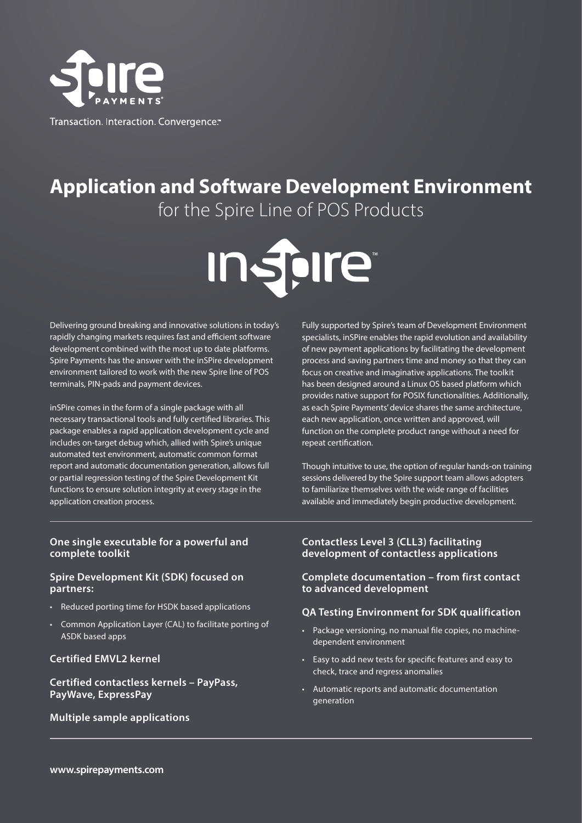

# **Application and Software Development Environment** for the Spire Line of POS Products

**Inspire** 

Delivering ground breaking and innovative solutions in today's rapidly changing markets requires fast and efficient software development combined with the most up to date platforms. Spire Payments has the answer with the inSPire development environment tailored to work with the new Spire line of POS terminals, PIN-pads and payment devices.

inSPire comes in the form of a single package with all necessary transactional tools and fully certified libraries. This package enables a rapid application development cycle and includes on-target debug which, allied with Spire's unique automated test environment, automatic common format report and automatic documentation generation, allows full or partial regression testing of the Spire Development Kit functions to ensure solution integrity at every stage in the application creation process.

Fully supported by Spire's team of Development Environment specialists, inSPire enables the rapid evolution and availability of new payment applications by facilitating the development process and saving partners time and money so that they can focus on creative and imaginative applications. The toolkit has been designed around a Linux OS based platform which provides native support for POSIX functionalities. Additionally, as each Spire Payments' device shares the same architecture, each new application, once written and approved, will function on the complete product range without a need for repeat certification.

Though intuitive to use, the option of regular hands-on training sessions delivered by the Spire support team allows adopters to familiarize themselves with the wide range of facilities available and immediately begin productive development.

#### **One single executable for a powerful and complete toolkit**

#### **Spire Development Kit (SDK) focused on partners:**

- Reduced porting time for HSDK based applications
- Common Application Layer (CAL) to facilitate porting of ASDK based apps

#### **Certified EMVL2 kernel**

#### **Certified contactless kernels – PayPass, PayWave, ExpressPay**

#### **Multiple sample applications**

#### **Contactless Level 3 (CLL3) facilitating development of contactless applications**

#### **Complete documentation – from first contact to advanced development**

#### **QA Testing Environment for SDK qualification**

- Package versioning, no manual file copies, no machinedependent environment
- Easy to add new tests for specific features and easy to check, trace and regress anomalies
- Automatic reports and automatic documentation generation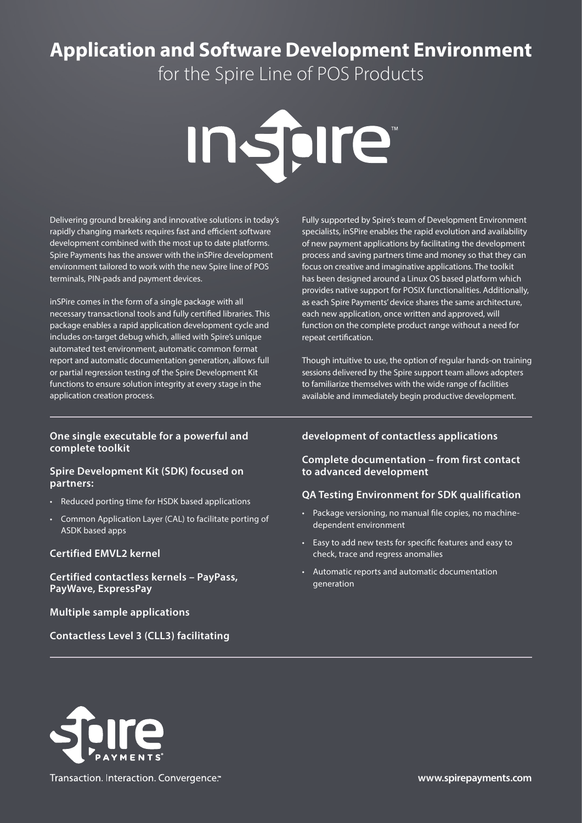# **Application and Software Development Environment**

for the Spire Line of POS Products



Delivering ground breaking and innovative solutions in today's rapidly changing markets requires fast and efficient software development combined with the most up to date platforms. Spire Payments has the answer with the inSPire development environment tailored to work with the new Spire line of POS terminals, PIN-pads and payment devices.

inSPire comes in the form of a single package with all necessary transactional tools and fully certified libraries. This package enables a rapid application development cycle and includes on-target debug which, allied with Spire's unique automated test environment, automatic common format report and automatic documentation generation, allows full or partial regression testing of the Spire Development Kit functions to ensure solution integrity at every stage in the application creation process.

#### **One single executable for a powerful and complete toolkit**

#### **Spire Development Kit (SDK) focused on partners:**

- Reduced porting time for HSDK based applications
- Common Application Layer (CAL) to facilitate porting of ASDK based apps

#### **Certified EMVL2 kernel**

**Certified contactless kernels – PayPass, PayWave, ExpressPay**

#### **Multiple sample applications**

**Contactless Level 3 (CLL3) facilitating** 

Fully supported by Spire's team of Development Environment specialists, inSPire enables the rapid evolution and availability of new payment applications by facilitating the development process and saving partners time and money so that they can focus on creative and imaginative applications. The toolkit has been designed around a Linux OS based platform which provides native support for POSIX functionalities. Additionally, as each Spire Payments' device shares the same architecture, each new application, once written and approved, will function on the complete product range without a need for repeat certification.

Though intuitive to use, the option of regular hands-on training sessions delivered by the Spire support team allows adopters to familiarize themselves with the wide range of facilities available and immediately begin productive development.

#### **development of contactless applications**

#### **Complete documentation – from first contact to advanced development**

#### **QA Testing Environment for SDK qualification**

- Package versioning, no manual file copies, no machinedependent environment
- Easy to add new tests for specific features and easy to check, trace and regress anomalies
- Automatic reports and automatic documentation generation



Transaction. Interaction. Convergence.